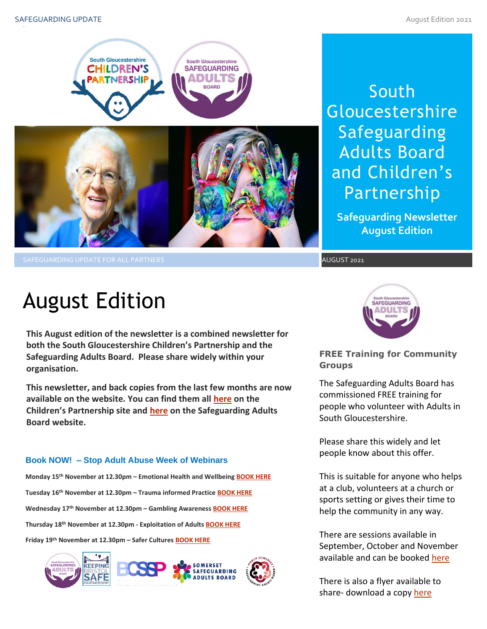

South **Gloucestershire** Safeguarding Adults Board and Children's Partnership

**Safeguarding Newsletter August Edition**

SAFEGUARDING UPDATE FOR ALL PARTNERS AUGUST 2021

# August Edition

**This August edition of the newsletter is a combined newsletter for both the South Gloucestershire Children's Partnership and the Safeguarding Adults Board. Please share widely within your organisation.**

**This newsletter, and back copies from the last few months are now available on the website. You can find them all [here](https://sites.southglos.gov.uk/safeguarding/children/safeguarding-children-board/scb-minutes-of-meetings/) on the Children's Partnership site and [here](https://sites.southglos.gov.uk/safeguarding/adults/safeguarding-adults-board/newsletters-2/) on the Safeguarding Adults Board website.**

## **Book NOW! – Stop Adult Abuse Week of Webinars**

**Monday 15th November at 12.30pm – Emotional Health and Wellbeing [BOOK HERE](https://www.eventbrite.co.uk/e/165751010735) Tuesday 16th November at 12.30pm – Trauma informed Practice [BOOK HERE](https://www.eventbrite.co.uk/e/165776338491) Wednesday 17th November at 12.30pm – Gambling Awareness [BOOK HERE](https://www.eventbrite.co.uk/e/166286432195) Thursday 18th November at 12.30pm - Exploitation of Adults [BOOK HERE](https://www.eventbrite.co.uk/e/166292123217) Friday 19th November at 12.30pm – Safer Cultures [BOOK HERE](https://www.eventbrite.co.uk/e/166292349895)**





**FREE Training for Community Groups**

The Safeguarding Adults Board has commissioned FREE training for people who volunteer with Adults in South Gloucestershire.

Please share this widely and let people know about this offer.

This is suitable for anyone who help<br>at a club, volunteers at a church or This is suitable for anyone who helps sports setting or gives their time to help the community in any way.

There are sessions available in September, October and November available and can be booke[d here](https://learning.southglos.gov.uk/courses/bookings/default.asp?ds=1&keyword=volunteers)

There is also a flyer available to share- download a copy [here](http://sites.southglos.gov.uk/safeguarding/wp-content/uploads/sites/221/2021/06/Community-Safeguarding-Training-Flyer-2021.pdf)